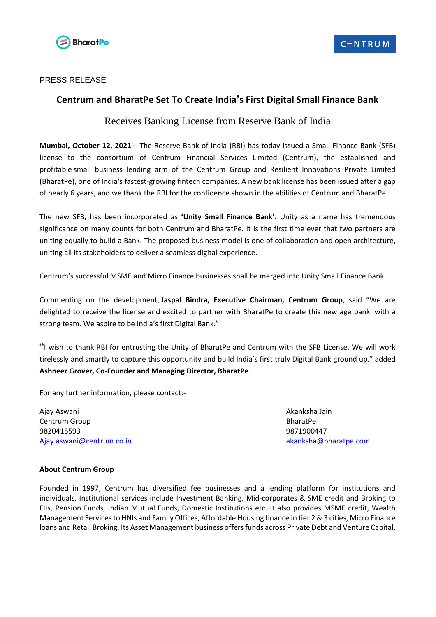

### PRESS RELEASE

## **Centrum and BharatPe Set To Create India's First Digital Small Finance Bank**

# Receives Banking License from Reserve Bank of India

**Mumbai, October 12, 2021** – The Reserve Bank of India (RBI) has today issued a Small Finance Bank (SFB) license to the consortium of Centrum Financial Services Limited (Centrum), the established and profitable small business lending arm of the Centrum Group and Resilient Innovations Private Limited (BharatPe), one of India's fastest-growing fintech companies. A new bank license has been issued after a gap of nearly 6 years, and we thank the RBI for the confidence shown in the abilities of Centrum and BharatPe.

The new SFB, has been incorporated as **'Unity Small Finance Bank'**. Unity as a name has tremendous significance on many counts for both Centrum and BharatPe. It is the first time ever that two partners are uniting equally to build a Bank. The proposed business model is one of collaboration and open architecture, uniting all its stakeholders to deliver a seamless digital experience.

Centrum's successful MSME and Micro Finance businesses shall be merged into Unity Small Finance Bank.

Commenting on the development, **Jaspal Bindra, Executive Chairman, Centrum Group**, said "We are delighted to receive the license and excited to partner with BharatPe to create this new age bank, with a strong team. We aspire to be India's first Digital Bank."

"I wish to thank RBI for entrusting the Unity of BharatPe and Centrum with the SFB License. We will work tirelessly and smartly to capture this opportunity and build India's first truly Digital Bank ground up." added **Ashneer Grover, Co-Founder and Managing Director, BharatPe**.

For any further information, please contact:-

Ajay Aswani Akanksha Jain Centrum Group **BharatPe** 9820415593 9871900447 [Ajay.aswani@centrum.co.in](mailto:Ajay.aswani@centrum.co.in) [akanksha@bharatpe.com](mailto:akanksha@bharatpe.com)

#### **About Centrum Group**

Founded in 1997, Centrum has diversified fee businesses and a lending platform for institutions and individuals. Institutional services include Investment Banking, Mid-corporates & SME credit and Broking to FIIs, Pension Funds, Indian Mutual Funds, Domestic Institutions etc. It also provides MSME credit, Wealth Management Servicesto HNIs and Family Offices, Affordable Housing finance in tier 2 & 3 cities, Micro Finance loans and Retail Broking. Its Asset Management business offers funds across Private Debt and Venture Capital.